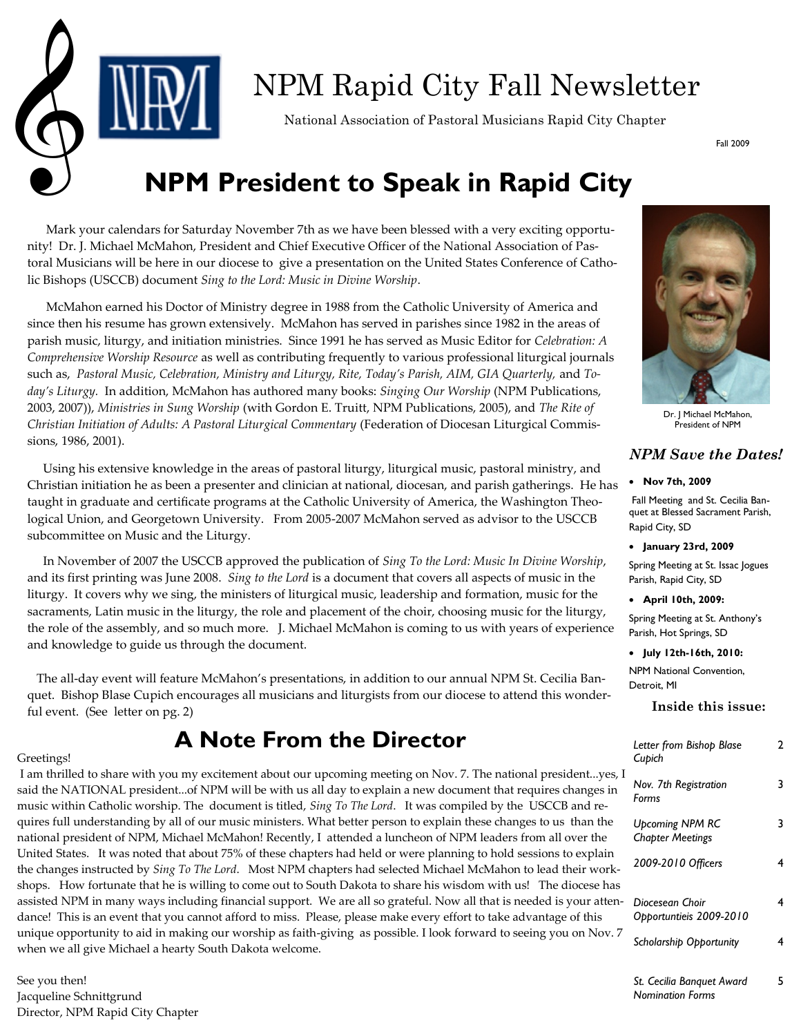

# NPM Rapid City Fall Newsletter National Association of Pastoral Musicians Rapid City Chapter

Fall 2009

## **NPM President to Speak in Rapid City**

 Mark your calendars for Saturday November 7th as we have been blessed with a very exciting opportunity! Dr. J. Michael McMahon, President and Chief Executive Officer of the National Association of Pastoral Musicians will be here in our diocese to give a presentation on the United States Conference of Catholic Bishops (USCCB) document *Sing to the Lord: Music in Divine Worship*.

 McMahon earned his Doctor of Ministry degree in 1988 from the Catholic University of America and since then his resume has grown extensively. McMahon has served in parishes since 1982 in the areas of parish music, liturgy, and initiation ministries. Since 1991 he has served as Music Editor for *Celebration: A Comprehensive Worship Resource* as well as contributing frequently to various professional liturgical journals such as, *Pastoral Music, Celebration, Ministry and Liturgy, Rite, Today's Parish, AIM, GIA Quarterly,* and *Today's Liturgy.* In addition, McMahon has authored many books: *Singing Our Worship* (NPM Publications, 2003, 2007)), *Ministries in Sung Worship* (with Gordon E. Truitt, NPM Publications, 2005), and *The Rite of Christian Initiation of Adults: A Pastoral Liturgical Commentary* (Federation of Diocesan Liturgical Commissions, 1986, 2001).

 Using his extensive knowledge in the areas of pastoral liturgy, liturgical music, pastoral ministry, and Christian initiation he as been a presenter and clinician at national, diocesan, and parish gatherings. He has taught in graduate and certificate programs at the Catholic University of America, the Washington Theological Union, and Georgetown University. From 2005-2007 McMahon served as advisor to the USCCB subcommittee on Music and the Liturgy.

 In November of 2007 the USCCB approved the publication of *Sing To the Lord: Music In Divine Worship*, and its first printing was June 2008. *Sing to the Lord* is a document that covers all aspects of music in the liturgy. It covers why we sing, the ministers of liturgical music, leadership and formation, music for the sacraments, Latin music in the liturgy, the role and placement of the choir, choosing music for the liturgy, the role of the assembly, and so much more. J. Michael McMahon is coming to us with years of experience and knowledge to guide us through the document.

 The all-day event will feature McMahon's presentations, in addition to our annual NPM St. Cecilia Banquet. Bishop Blase Cupich encourages all musicians and liturgists from our diocese to attend this wonderful event. (See letter on pg. 2)

### **A Note From the Director**

#### Greetings!

I am thrilled to share with you my excitement about our upcoming meeting on Nov. 7. The national president...yes, I said the NATIONAL president...of NPM will be with us all day to explain a new document that requires changes in music within Catholic worship. The document is titled, *Sing To The Lord*. It was compiled by the USCCB and requires full understanding by all of our music ministers. What better person to explain these changes to us than the national president of NPM, Michael McMahon! Recently, I attended a luncheon of NPM leaders from all over the United States. It was noted that about 75% of these chapters had held or were planning to hold sessions to explain the changes instructed by *Sing To The Lord*. Most NPM chapters had selected Michael McMahon to lead their workshops. How fortunate that he is willing to come out to South Dakota to share his wisdom with us! The diocese has assisted NPM in many ways including financial support. We are all so grateful. Now all that is needed is your attendance! This is an event that you cannot afford to miss. Please, please make every effort to take advantage of this unique opportunity to aid in making our worship as faith-giving as possible. I look forward to seeing you on Nov. 7 when we all give Michael a hearty South Dakota welcome.

See you then! Jacqueline Schnittgrund Director, NPM Rapid City Chapter



Dr. J Michael McMahon, President of NPM

#### *NPM Save the Dates!*

#### **Nov 7th, 2009**

Fall Meeting and St. Cecilia Banquet at Blessed Sacrament Parish, Rapid City, SD

**January 23rd, 2009**

Spring Meeting at St. Issac Jogues Parish, Rapid City, SD

#### **April 10th, 2009:**

Spring Meeting at St. Anthony's Parish, Hot Springs, SD

#### **July 12th-16th, 2010:**

NPM National Convention, Detroit, MI

#### **Inside this issue:**

| Letter from Bishop Blase<br>Cupich                | 7 |
|---------------------------------------------------|---|
| Nov. 7th Registration<br>Forms                    |   |
| <b>Upcoming NPM RC</b><br><b>Chapter Meetings</b> | 3 |
| 2009-2010 Officers                                | 4 |
| Diocesean Choir<br>Opportuntieis 2009-2010        | 4 |
| <b>Scholarship Opportunity</b>                    | 4 |
| St. Cecilia Banguet Award                         |   |

*Nomination Forms*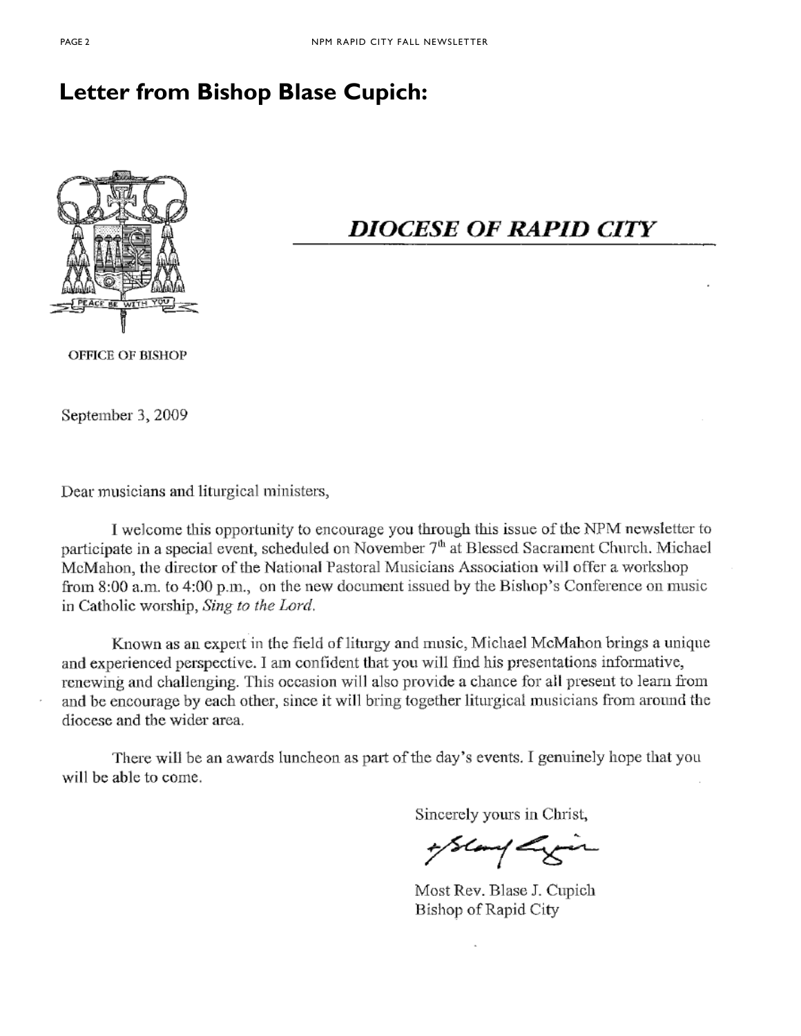### **Letter from Bishop Blase Cupich:**



### **DIOCESE OF RAPID CITY**

**OFFICE OF BISHOP** 

September 3, 2009

Dear musicians and liturgical ministers,

I welcome this opportunity to encourage you through this issue of the NPM newsletter to participate in a special event, scheduled on November 7<sup>th</sup> at Blessed Sacrament Church. Michael McMahon, the director of the National Pastoral Musicians Association will offer a workshop from 8:00 a.m. to 4:00 p.m., on the new document issued by the Bishop's Conference on music in Catholic worship, Sing to the Lord.

Known as an expert in the field of liturgy and music, Michael McMahon brings a unique and experienced perspective. I am confident that you will find his presentations informative, renewing and challenging. This occasion will also provide a chance for all present to learn from and be encourage by each other, since it will bring together liturgical musicians from around the diocese and the wider area.

There will be an awards luncheon as part of the day's events. I genuinely hope that you will be able to come.

Sincerely yours in Christ,

+ Slamp Ly

Most Rev. Blase J. Cupich Bishop of Rapid City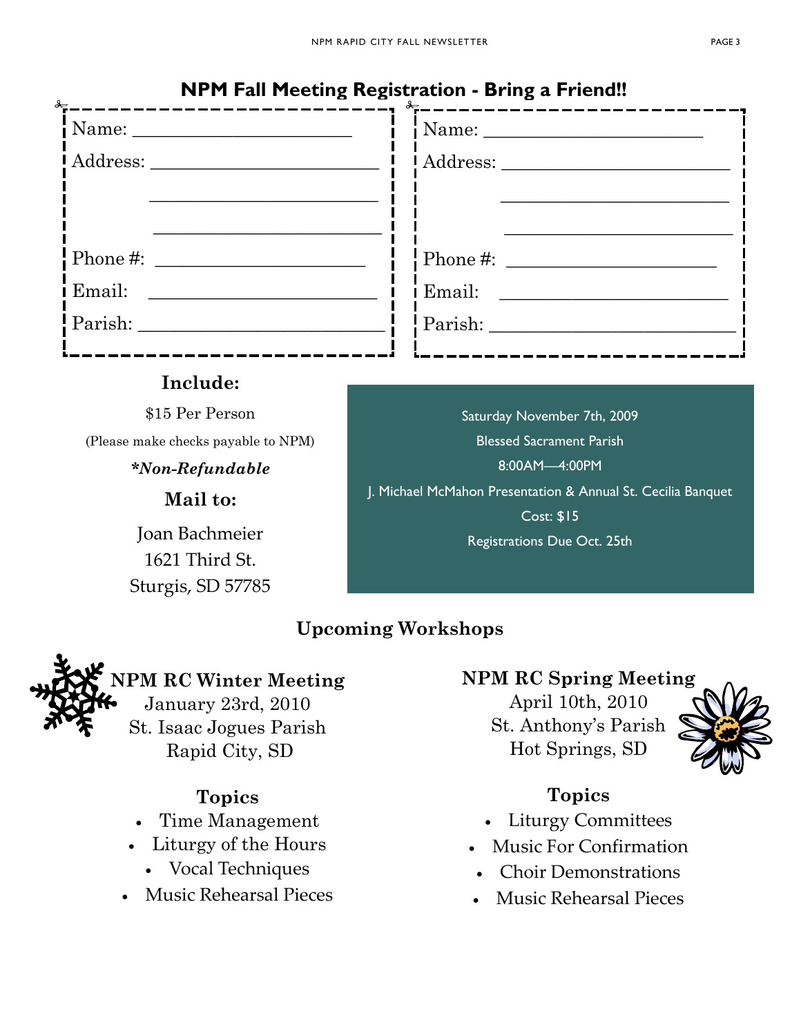#### **NPM Fall Meeting Registration - Bring a Friend!!**

| $\frac{1}{2}$ |  | - 0<br>$\frac{1}{2}$ |
|---------------|--|----------------------|
|               |  |                      |
|               |  |                      |
|               |  |                      |
|               |  |                      |
|               |  |                      |
| l Email:      |  | <i>Email:</i>        |
|               |  | Parish:              |
|               |  |                      |

#### **Include:**

\$15 Per Person

(Please make checks payable to NPM)

*\*Non-Refundable*

**Mail to:**

Joan Bachmeier 1621 Third St. Sturgis, SD 57785

Saturday November 7th, 2009 Blessed Sacrament Parish 8:00AM—4:00PM J. Michael McMahon Presentation & Annual St. Cecilia Banquet Cost: \$15

Registrations Due Oct. 25th

### **Upcoming Workshops**

### **NPM RC Winter Meeting**

January 23rd, 2010 St. Isaac Jogues Parish Rapid City, SD

### **Topics**

- Time Management
- Liturgy of the Hours
	- Vocal Techniques
- Music Rehearsal Pieces

#### **NPM RC Spring Meeting**

April 10th, 2010 St. Anthony's Parish Hot Springs, SD



#### **Topics**

- Liturgy Committees
- Music For Confirmation
- Choir Demonstrations
- Music Rehearsal Pieces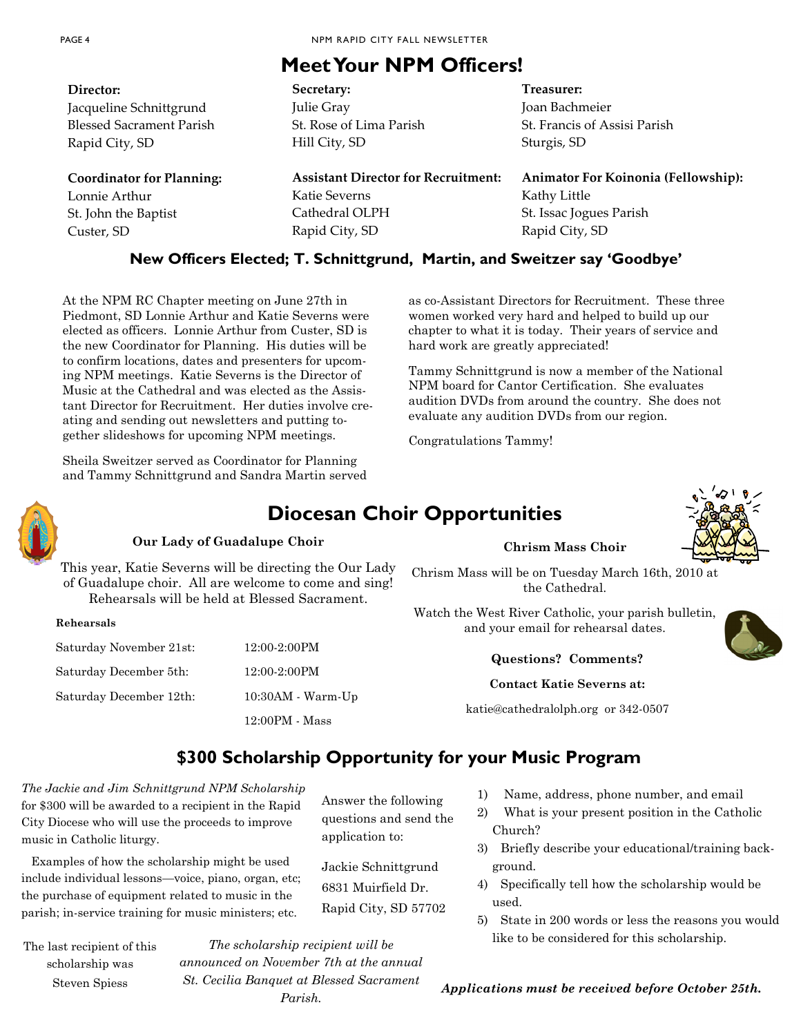### **Meet Your NPM Officers!**

| Director:                        | Secretary:                                                                | Treasurer:                          |
|----------------------------------|---------------------------------------------------------------------------|-------------------------------------|
| Jacqueline Schnittgrund          | Julie Gray                                                                | Joan Bachmeier                      |
| <b>Blessed Sacrament Parish</b>  | St. Rose of Lima Parish                                                   | St. Francis of Assisi Parish        |
| Rapid City, SD                   | Hill City, SD                                                             | Sturgis, SD                         |
| <b>Coordinator for Planning:</b> | <b>Assistant Director for Recruitment:</b>                                | Animator For Koinonia (Fellowship): |
| Lonnie Arthur                    | Katie Severns                                                             | Kathy Little                        |
| St. John the Baptist             | Cathedral OLPH                                                            | St. Issac Jogues Parish             |
| Custer, SD                       | Rapid City, SD                                                            | Rapid City, SD                      |
|                                  | New Officers Elected; T. Schnittgrund, Martin, and Sweitzer say 'Goodbye' |                                     |

At the NPM RC Chapter meeting on June 27th in Piedmont, SD Lonnie Arthur and Katie Severns were elected as officers. Lonnie Arthur from Custer, SD is the new Coordinator for Planning. His duties will be to confirm locations, dates and presenters for upcoming NPM meetings. Katie Severns is the Director of Music at the Cathedral and was elected as the Assistant Director for Recruitment. Her duties involve creating and sending out newsletters and putting together slideshows for upcoming NPM meetings.

Sheila Sweitzer served as Coordinator for Planning and Tammy Schnittgrund and Sandra Martin served as co-Assistant Directors for Recruitment. These three women worked very hard and helped to build up our chapter to what it is today. Their years of service and hard work are greatly appreciated!

Tammy Schnittgrund is now a member of the National NPM board for Cantor Certification. She evaluates audition DVDs from around the country. She does not evaluate any audition DVDs from our region.

Congratulations Tammy!

### **Diocesan Choir Opportunities**

#### **Our Lady of Guadalupe Choir**

This year, Katie Severns will be directing the Our Lady of Guadalupe choir. All are welcome to come and sing! Rehearsals will be held at Blessed Sacrament.

**Chrism Mass Choir**



Chrism Mass will be on Tuesday March 16th, 2010 at the Cathedral.

Watch the West River Catholic, your parish bulletin, and your email for rehearsal dates.

| Rehearsals |  |
|------------|--|
|            |  |

| Saturday November 21st: | 12:00-2:00PM        |
|-------------------------|---------------------|
| Saturday December 5th:  | $12:00-2:00$ PM     |
| Saturday December 12th: | $10:30AM - Warm-Up$ |
|                         | $12:00PM - Mass$    |

#### **Questions? Comments?**

#### **Contact Katie Severns at:**

katie@cathedralolph.org or 342-0507

#### **\$300 Scholarship Opportunity for your Music Program**

Answer the following questions and send the

Jackie Schnittgrund 6831 Muirfield Dr. Rapid City, SD 57702

application to:

*The Jackie and Jim Schnittgrund NPM Scholarship*  for \$300 will be awarded to a recipient in the Rapid City Diocese who will use the proceeds to improve music in Catholic liturgy.

 Examples of how the scholarship might be used include individual lessons—voice, piano, organ, etc; the purchase of equipment related to music in the parish; in-service training for music ministers; etc.

The last recipient of this scholarship was Steven Spiess

*announced on November 7th at the annual St. Cecilia Banquet at Blessed Sacrament Parish.*

1) Name, address, phone number, and email

- 2) What is your present position in the Catholic Church?
- 3) Briefly describe your educational/training background.
- 4) Specifically tell how the scholarship would be used.
- 5) State in 200 words or less the reasons you would like to be considered for this scholarship. *The scholarship recipient will be*

*Applications must be received before October 25th.*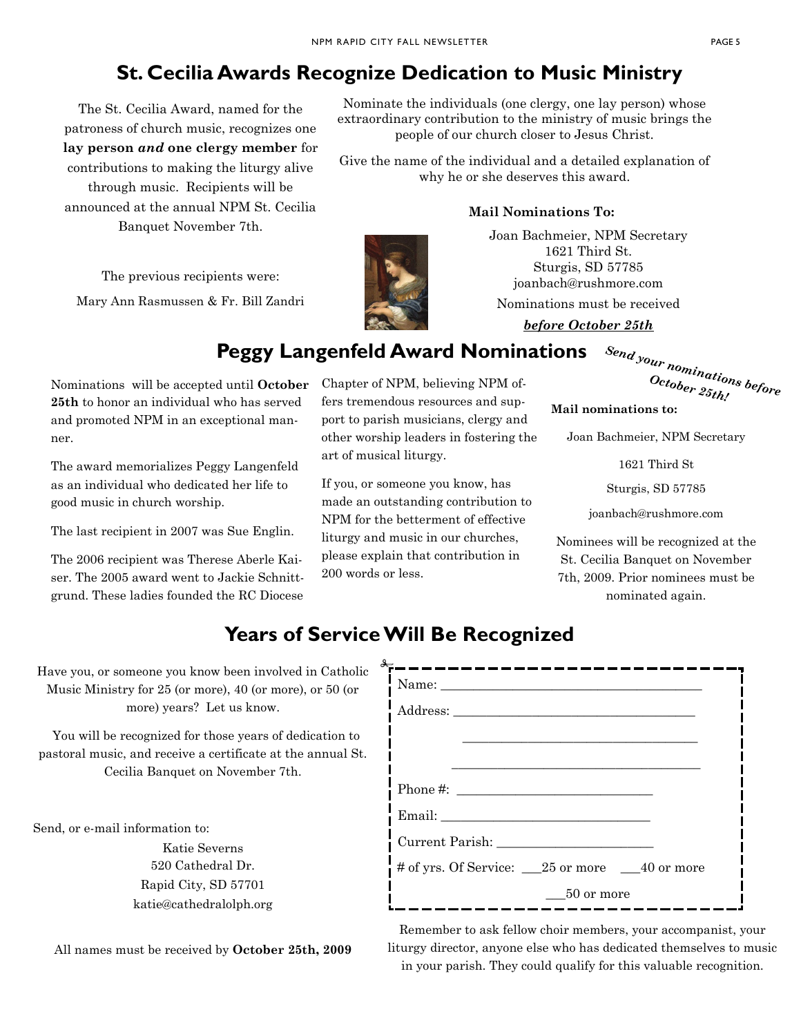### **St. Cecilia Awards Recognize Dedication to Music Ministry**

The St. Cecilia Award, named for the patroness of church music, recognizes one **lay person** *and* **one clergy member** for contributions to making the liturgy alive through music. Recipients will be announced at the annual NPM St. Cecilia

Banquet November 7th.

The previous recipients were: Mary Ann Rasmussen & Fr. Bill Zandri

Nominate the individuals (one clergy, one lay person) whose extraordinary contribution to the ministry of music brings the people of our church closer to Jesus Christ.

Give the name of the individual and a detailed explanation of why he or she deserves this award.

#### **Mail Nominations To:**

Joan Bachmeier, NPM Secretary 1621 Third St. Sturgis, SD 57785 joanbach@rushmore.com

Nominations must be received

*before October 25th*

### **Peggy Langenfeld Award Nominations**

Nominations will be accepted until **October 25th** to honor an individual who has served and promoted NPM in an exceptional manner.

The award memorializes Peggy Langenfeld as an individual who dedicated her life to good music in church worship.

The last recipient in 2007 was Sue Englin.

The 2006 recipient was Therese Aberle Kaiser. The 2005 award went to Jackie Schnittgrund. These ladies founded the RC Diocese Chapter of NPM, believing NPM offers tremendous resources and support to parish musicians, clergy and other worship leaders in fostering the art of musical liturgy.

If you, or someone you know, has made an outstanding contribution to NPM for the betterment of effective liturgy and music in our churches, please explain that contribution in 200 words or less.

| <sup>Send your nominations before</sup> |                                               |  |
|-----------------------------------------|-----------------------------------------------|--|
|                                         | $\begin{aligned} October~25th' \end{aligned}$ |  |
|                                         |                                               |  |

**Mail nominations to:**

Joan Bachmeier, NPM Secretary

1621 Third St

Sturgis, SD 57785

joanbach@rushmore.com

Nominees will be recognized at the St. Cecilia Banquet on November 7th, 2009. Prior nominees must be nominated again.

### **Years of Service Will Be Recognized**

Have you, or someone you know been involved in Catholic Music Ministry for 25 (or more), 40 (or more), or 50 (or more) years? Let us know.

 You will be recognized for those years of dedication to pastoral music, and receive a certificate at the annual St. Cecilia Banquet on November 7th.

Send, or e-mail information to:

Katie Severns 520 Cathedral Dr. Rapid City, SD 57701 katie@cathedralolph.org

All names must be received by **October 25th, 2009**

| Name:                                             |            |  |
|---------------------------------------------------|------------|--|
|                                                   |            |  |
|                                                   |            |  |
|                                                   |            |  |
|                                                   |            |  |
|                                                   |            |  |
|                                                   |            |  |
| # of yrs. Of Service: ___25 or more ___40 or more |            |  |
|                                                   | 50 or more |  |

Remember to ask fellow choir members, your accompanist, your liturgy director, anyone else who has dedicated themselves to music in your parish. They could qualify for this valuable recognition.